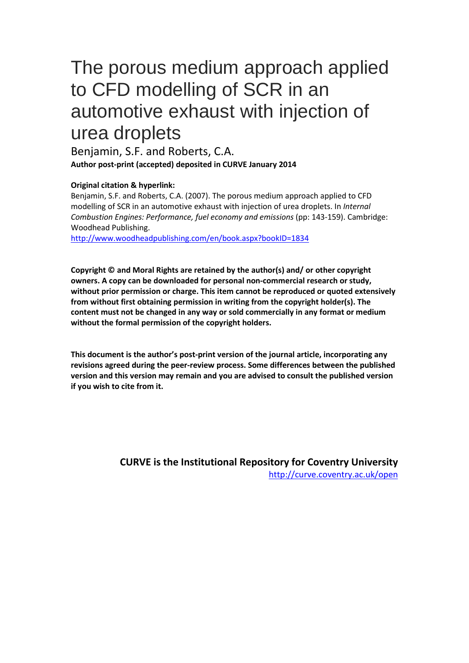# The porous medium approach applied to CFD modelling of SCR in an automotive exhaust with injection of urea droplets

Benjamin, S.F. and Roberts, C.A. **Author post-print (accepted) deposited in CURVE January 2014**

#### **Original citation & hyperlink:**

Benjamin, S.F. and Roberts, C.A. (2007). The porous medium approach applied to CFD modelling of SCR in an automotive exhaust with injection of urea droplets. In *Internal Combustion Engines: Performance, fuel economy and emissions* (pp: 143-159). Cambridge: Woodhead Publishing.

<http://www.woodheadpublishing.com/en/book.aspx?bookID=1834>

**Copyright © and Moral Rights are retained by the author(s) and/ or other copyright owners. A copy can be downloaded for personal non-commercial research or study, without prior permission or charge. This item cannot be reproduced or quoted extensively from without first obtaining permission in writing from the copyright holder(s). The content must not be changed in any way or sold commercially in any format or medium without the formal permission of the copyright holders.** 

**This document is the author's post-print version of the journal article, incorporating any revisions agreed during the peer-review process. Some differences between the published version and this version may remain and you are advised to consult the published version if you wish to cite from it.** 

> **CURVE is the Institutional Repository for Coventry University** <http://curve.coventry.ac.uk/open>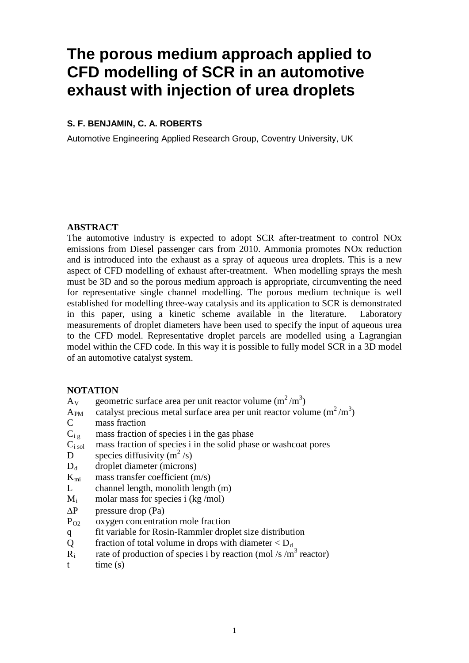# **The porous medium approach applied to CFD modelling of SCR in an automotive exhaust with injection of urea droplets**

#### **S. F. BENJAMIN, C. A. ROBERTS**

Automotive Engineering Applied Research Group, Coventry University, UK

#### **ABSTRACT**

The automotive industry is expected to adopt SCR after-treatment to control NOx emissions from Diesel passenger cars from 2010. Ammonia promotes NOx reduction and is introduced into the exhaust as a spray of aqueous urea droplets. This is a new aspect of CFD modelling of exhaust after-treatment. When modelling sprays the mesh must be 3D and so the porous medium approach is appropriate, circumventing the need for representative single channel modelling. The porous medium technique is well established for modelling three-way catalysis and its application to SCR is demonstrated in this paper, using a kinetic scheme available in the literature. Laboratory measurements of droplet diameters have been used to specify the input of aqueous urea to the CFD model. Representative droplet parcels are modelled using a Lagrangian model within the CFD code. In this way it is possible to fully model SCR in a 3D model of an automotive catalyst system.

#### **NOTATION**

- $A_V$  geometric surface area per unit reactor volume  $(m^2/m^3)$
- $A_{PM}$  catalyst precious metal surface area per unit reactor volume  $(m^2/m^3)$ C mass fraction
- $C_i$  g mass fraction of species i in the gas phase
- $C_{i \text{sol}}$  mass fraction of species i in the solid phase or washcoat pores
- D species diffusivity  $(m^2/s)$
- $D_d$  droplet diameter (microns)
- $K_{mi}$  mass transfer coefficient  $(m/s)$
- L channel length, monolith length (m)
- $M_i$  molar mass for species i (kg/mol)
- ∆P pressure drop (Pa)
- $P_{O2}$  oxygen concentration mole fraction
- q fit variable for Rosin-Rammler droplet size distribution
- Q fraction of total volume in drops with diameter  $\langle D_d \rangle$
- $R_i$  rate of production of species i by reaction (mol /s /m<sup>3</sup> reactor)
- $t$   $time(s)$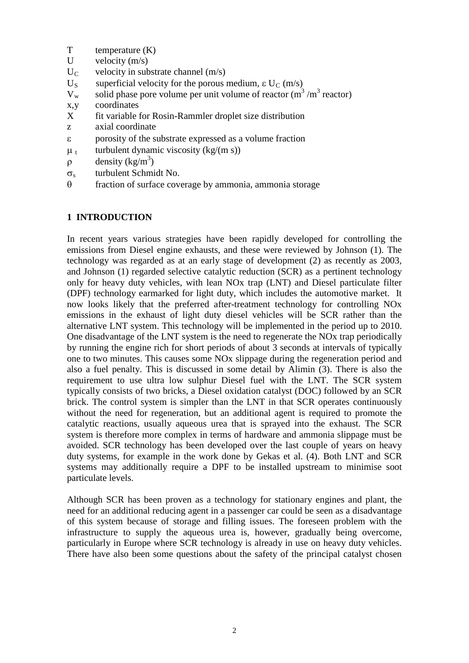- T temperature  $(K)$ <br>U velocity  $(m/s)$
- velocity  $(m/s)$
- $U_C$  velocity in substrate channel (m/s)<br>U<sub>S</sub> superficial velocity for the porous i
- U<sub>S</sub> superficial velocity for the porous medium, ε U<sub>C</sub> (m/s)<br>V<sub>w</sub> solid phase pore volume per unit volume of reactor (m<sup>3</sup>
- solid phase pore volume per unit volume of reactor  $(m<sup>3</sup>/m<sup>3</sup>$  reactor)
- x, y coordinates<br>X fit variable 1
- fit variable for Rosin-Rammler droplet size distribution
- z axial coordinate
- ε porosity of the substrate expressed as a volume fraction
- $\mu_t$  turbulent dynamic viscosity (kg/(m s))
- $\rho$  density (kg/m<sup>3</sup>)
- σ<sup>s</sup> turbulent Schmidt No.
- θ fraction of surface coverage by ammonia, ammonia storage

# **1 INTRODUCTION**

In recent years various strategies have been rapidly developed for controlling the emissions from Diesel engine exhausts, and these were reviewed by Johnson (1). The technology was regarded as at an early stage of development (2) as recently as 2003, and Johnson (1) regarded selective catalytic reduction (SCR) as a pertinent technology only for heavy duty vehicles, with lean NOx trap (LNT) and Diesel particulate filter (DPF) technology earmarked for light duty, which includes the automotive market. It now looks likely that the preferred after-treatment technology for controlling NOx emissions in the exhaust of light duty diesel vehicles will be SCR rather than the alternative LNT system. This technology will be implemented in the period up to 2010. One disadvantage of the LNT system is the need to regenerate the NOx trap periodically by running the engine rich for short periods of about 3 seconds at intervals of typically one to two minutes. This causes some NOx slippage during the regeneration period and also a fuel penalty. This is discussed in some detail by Alimin (3). There is also the requirement to use ultra low sulphur Diesel fuel with the LNT. The SCR system typically consists of two bricks, a Diesel oxidation catalyst (DOC) followed by an SCR brick. The control system is simpler than the LNT in that SCR operates continuously without the need for regeneration, but an additional agent is required to promote the catalytic reactions, usually aqueous urea that is sprayed into the exhaust. The SCR system is therefore more complex in terms of hardware and ammonia slippage must be avoided. SCR technology has been developed over the last couple of years on heavy duty systems, for example in the work done by Gekas et al. (4). Both LNT and SCR systems may additionally require a DPF to be installed upstream to minimise soot particulate levels.

Although SCR has been proven as a technology for stationary engines and plant, the need for an additional reducing agent in a passenger car could be seen as a disadvantage of this system because of storage and filling issues. The foreseen problem with the infrastructure to supply the aqueous urea is, however, gradually being overcome, particularly in Europe where SCR technology is already in use on heavy duty vehicles. There have also been some questions about the safety of the principal catalyst chosen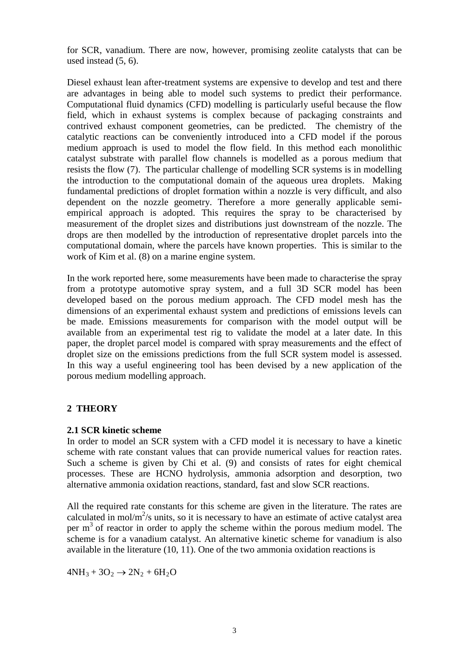for SCR, vanadium. There are now, however, promising zeolite catalysts that can be used instead (5, 6).

Diesel exhaust lean after-treatment systems are expensive to develop and test and there are advantages in being able to model such systems to predict their performance. Computational fluid dynamics (CFD) modelling is particularly useful because the flow field, which in exhaust systems is complex because of packaging constraints and contrived exhaust component geometries, can be predicted. The chemistry of the catalytic reactions can be conveniently introduced into a CFD model if the porous medium approach is used to model the flow field. In this method each monolithic catalyst substrate with parallel flow channels is modelled as a porous medium that resists the flow (7). The particular challenge of modelling SCR systems is in modelling the introduction to the computational domain of the aqueous urea droplets. Making fundamental predictions of droplet formation within a nozzle is very difficult, and also dependent on the nozzle geometry. Therefore a more generally applicable semiempirical approach is adopted. This requires the spray to be characterised by measurement of the droplet sizes and distributions just downstream of the nozzle. The drops are then modelled by the introduction of representative droplet parcels into the computational domain, where the parcels have known properties. This is similar to the work of Kim et al. (8) on a marine engine system.

In the work reported here, some measurements have been made to characterise the spray from a prototype automotive spray system, and a full 3D SCR model has been developed based on the porous medium approach. The CFD model mesh has the dimensions of an experimental exhaust system and predictions of emissions levels can be made. Emissions measurements for comparison with the model output will be available from an experimental test rig to validate the model at a later date. In this paper, the droplet parcel model is compared with spray measurements and the effect of droplet size on the emissions predictions from the full SCR system model is assessed. In this way a useful engineering tool has been devised by a new application of the porous medium modelling approach.

# **2 THEORY**

#### **2.1 SCR kinetic scheme**

In order to model an SCR system with a CFD model it is necessary to have a kinetic scheme with rate constant values that can provide numerical values for reaction rates. Such a scheme is given by Chi et al. (9) and consists of rates for eight chemical processes. These are HCNO hydrolysis, ammonia adsorption and desorption, two alternative ammonia oxidation reactions, standard, fast and slow SCR reactions.

All the required rate constants for this scheme are given in the literature. The rates are calculated in mol/ $m^2$ /s units, so it is necessary to have an estimate of active catalyst area per  $m<sup>3</sup>$  of reactor in order to apply the scheme within the porous medium model. The scheme is for a vanadium catalyst. An alternative kinetic scheme for vanadium is also available in the literature (10, 11). One of the two ammonia oxidation reactions is

 $4NH_3 + 3O_2 \rightarrow 2N_2 + 6H_2O$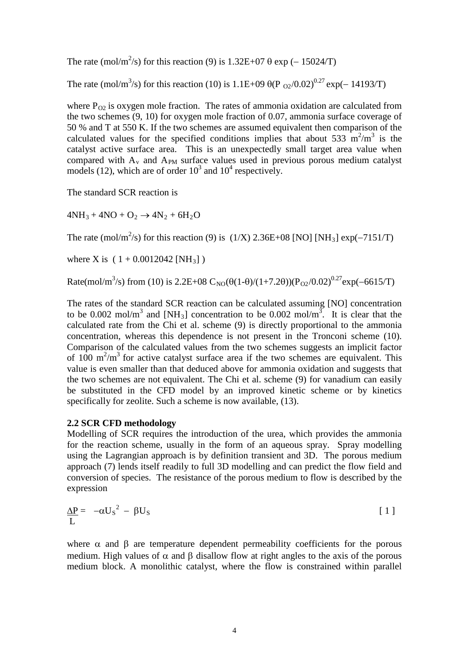The rate (mol/m<sup>2</sup>/s) for this reaction (9) is  $1.32E+07 \theta \exp(-15024/T)$ 

The rate (mol/m<sup>3</sup>/s) for this reaction (10) is 1.1E+09  $\theta$ (P <sub>O2</sub>/0.02)<sup>0.27</sup> exp(- 14193/T)

where  $P_{02}$  is oxygen mole fraction. The rates of ammonia oxidation are calculated from the two schemes (9, 10) for oxygen mole fraction of 0.07, ammonia surface coverage of 50 % and T at 550 K. If the two schemes are assumed equivalent then comparison of the calculated values for the specified conditions implies that about 533  $m^2/m^3$  is the catalyst active surface area. This is an unexpectedly small target area value when compared with  $A<sub>v</sub>$  and  $A<sub>PM</sub>$  surface values used in previous porous medium catalyst models (12), which are of order  $10^3$  and  $10^4$  respectively.

The standard SCR reaction is

 $4NH_3 + 4NO + O_2 \rightarrow 4N_2 + 6H_2O$ 

The rate (mol/m<sup>2</sup>/s) for this reaction (9) is  $(1/X)$  2.36E+08 [NO] [NH<sub>3</sub>] exp(-7151/T)

where X is  $(1 + 0.0012042$  [NH<sub>3</sub>])

Rate(mol/m<sup>3</sup>/s) from (10) is 2.2E+08  $C_{\text{NO}}(\theta(1-\theta)/(1+7.2\theta))(P_{\text{O2}}/0.02)^{0.27}$ exp(-6615/T)

The rates of the standard SCR reaction can be calculated assuming [NO] concentration to be 0.002 mol/m<sup>3</sup> and [NH<sub>3</sub>] concentration to be 0.002 mol/m<sup>3</sup>. It is clear that the calculated rate from the Chi et al. scheme (9) is directly proportional to the ammonia concentration, whereas this dependence is not present in the Tronconi scheme (10). Comparison of the calculated values from the two schemes suggests an implicit factor of 100  $\text{m}^2/\text{m}^3$  for active catalyst surface area if the two schemes are equivalent. This value is even smaller than that deduced above for ammonia oxidation and suggests that the two schemes are not equivalent. The Chi et al. scheme (9) for vanadium can easily be substituted in the CFD model by an improved kinetic scheme or by kinetics specifically for zeolite. Such a scheme is now available,  $(13)$ .

#### **2.2 SCR CFD methodology**

Modelling of SCR requires the introduction of the urea, which provides the ammonia for the reaction scheme, usually in the form of an aqueous spray. Spray modelling using the Lagrangian approach is by definition transient and 3D. The porous medium approach (7) lends itself readily to full 3D modelling and can predict the flow field and conversion of species. The resistance of the porous medium to flow is described by the expression

$$
\frac{\Delta P}{L} = -\alpha U_s^2 - \beta U_s \tag{1}
$$

where  $\alpha$  and  $\beta$  are temperature dependent permeability coefficients for the porous medium. High values of  $\alpha$  and  $\beta$  disallow flow at right angles to the axis of the porous medium block. A monolithic catalyst, where the flow is constrained within parallel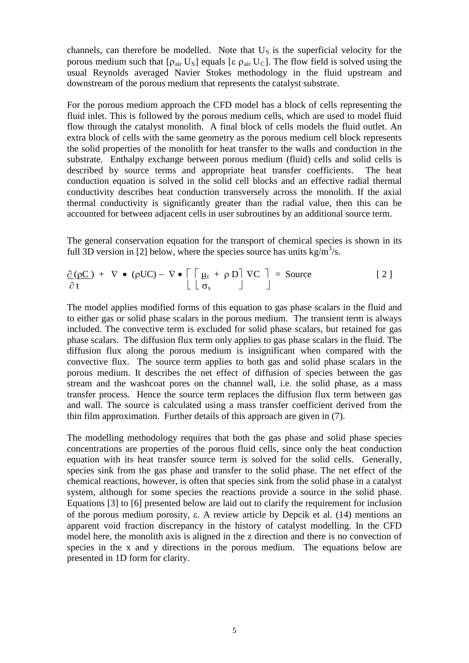channels, can therefore be modelled. Note that  $U<sub>S</sub>$  is the superficial velocity for the porous medium such that  $[\rho_{air} U_S]$  equals [ε  $\rho_{air} U_C$ ]. The flow field is solved using the usual Reynolds averaged Navier Stokes methodology in the fluid upstream and downstream of the porous medium that represents the catalyst substrate.

For the porous medium approach the CFD model has a block of cells representing the fluid inlet. This is followed by the porous medium cells, which are used to model fluid flow through the catalyst monolith. A final block of cells models the fluid outlet. An extra block of cells with the same geometry as the porous medium cell block represents the solid properties of the monolith for heat transfer to the walls and conduction in the substrate. Enthalpy exchange between porous medium (fluid) cells and solid cells is described by source terms and appropriate heat transfer coefficients. The heat conduction equation is solved in the solid cell blocks and an effective radial thermal conductivity describes heat conduction transversely across the monolith. If the axial thermal conductivity is significantly greater than the radial value, then this can be accounted for between adjacent cells in user subroutines by an additional source term.

The general conservation equation for the transport of chemical species is shown in its full 3D version in [2] below, where the species source has units kg/m<sup>3</sup>/s.

$$
\frac{\partial (\rho C)}{\partial t} + \nabla \cdot (\rho U C) - \nabla \cdot \left[ \left[ \underline{\mu}_t + \rho D \right] \nabla C \right] = Source
$$
\n[2]

The model applies modified forms of this equation to gas phase scalars in the fluid and to either gas or solid phase scalars in the porous medium. The transient term is always included. The convective term is excluded for solid phase scalars, but retained for gas phase scalars. The diffusion flux term only applies to gas phase scalars in the fluid. The diffusion flux along the porous medium is insignificant when compared with the convective flux. The source term applies to both gas and solid phase scalars in the porous medium. It describes the net effect of diffusion of species between the gas stream and the washcoat pores on the channel wall, i.e. the solid phase, as a mass transfer process. Hence the source term replaces the diffusion flux term between gas and wall. The source is calculated using a mass transfer coefficient derived from the thin film approximation. Further details of this approach are given in (7).

The modelling methodology requires that both the gas phase and solid phase species concentrations are properties of the porous fluid cells, since only the heat conduction equation with its heat transfer source term is solved for the solid cells. Generally, species sink from the gas phase and transfer to the solid phase. The net effect of the chemical reactions, however, is often that species sink from the solid phase in a catalyst system, although for some species the reactions provide a source in the solid phase. Equations [3] to [6] presented below are laid out to clarify the requirement for inclusion of the porous medium porosity, ε. A review article by Depcik et al. (14) mentions an apparent void fraction discrepancy in the history of catalyst modelling. In the CFD model here, the monolith axis is aligned in the z direction and there is no convection of species in the x and y directions in the porous medium. The equations below are presented in 1D form for clarity.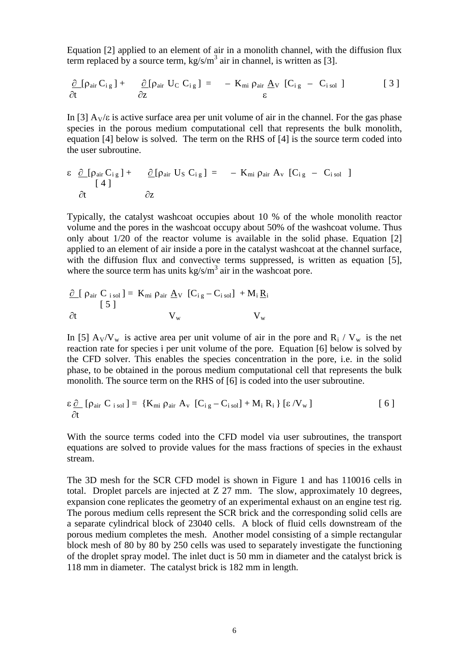Equation [2] applied to an element of air in a monolith channel, with the diffusion flux term replaced by a source term,  $kg/s/m<sup>3</sup>$  air in channel, is written as [3].

$$
\frac{\partial}{\partial t} [\rho_{air} C_{ig}] + \frac{\partial}{\partial z} [\rho_{air} U_C C_{ig}] = - K_{mi} \rho_{air} \underline{A}_V [C_{ig} - C_{isol}]
$$
\n[3]

In [3]  $A_V/\varepsilon$  is active surface area per unit volume of air in the channel. For the gas phase species in the porous medium computational cell that represents the bulk monolith, equation [4] below is solved. The term on the RHS of [4] is the source term coded into the user subroutine.

$$
\varepsilon \frac{\partial [\rho_{air} C_{ig}] + \partial [\rho_{air} U_S C_{ig}] = - K_{mi} \rho_{air} A_v [C_{ig} - C_{isol}]
$$
  
\n
$$
\frac{\partial}{\partial t} \frac{\partial [\rho_{air} C_{ig}] + \partial Z}{\partial z}
$$

Typically, the catalyst washcoat occupies about 10 % of the whole monolith reactor volume and the pores in the washcoat occupy about 50% of the washcoat volume. Thus only about  $1/20$  of the reactor volume is available in the solid phase. Equation  $[2]$ applied to an element of air inside a pore in the catalyst washcoat at the channel surface, with the diffusion flux and convective terms suppressed, is written as equation [5], where the source term has units  $\frac{kg}{s/m^3}$  air in the washcoat pore.

$$
\frac{\partial}{\partial t} [\rho_{air} C_{i sol}] = K_{mi} \rho_{air} \underline{A}_V [C_{ig} - C_{i sol}] + M_i \underline{R}_i
$$
  
 
$$
\frac{\partial}{\partial t} V_w V_w
$$

In [5]  $A_V/V_w$  is active area per unit volume of air in the pore and  $R_i / V_w$  is the net reaction rate for species i per unit volume of the pore. Equation [6] below is solved by the CFD solver. This enables the species concentration in the pore, i.e. in the solid phase, to be obtained in the porous medium computational cell that represents the bulk monolith. The source term on the RHS of [6] is coded into the user subroutine.

$$
\varepsilon \frac{\partial}{\partial t} [\rho_{\text{air}} C_{\text{isol}}] = \{K_{\text{mi}} \rho_{\text{air}} A_{\text{v}} [C_{\text{ig}} - C_{\text{isol}}] + M_{\text{i}} R_{\text{i}} \} [\varepsilon / V_{\text{w}}]
$$
 [6]

With the source terms coded into the CFD model via user subroutines, the transport equations are solved to provide values for the mass fractions of species in the exhaust stream.

The 3D mesh for the SCR CFD model is shown in Figure 1 and has 110016 cells in total. Droplet parcels are injected at Z 27 mm. The slow, approximately 10 degrees, expansion cone replicates the geometry of an experimental exhaust on an engine test rig. The porous medium cells represent the SCR brick and the corresponding solid cells are a separate cylindrical block of 23040 cells. A block of fluid cells downstream of the porous medium completes the mesh. Another model consisting of a simple rectangular block mesh of 80 by 80 by 250 cells was used to separately investigate the functioning of the droplet spray model. The inlet duct is 50 mm in diameter and the catalyst brick is 118 mm in diameter. The catalyst brick is 182 mm in length.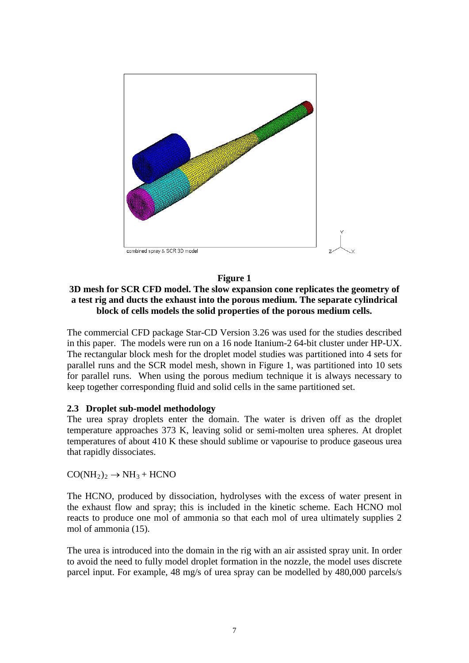

#### **Figure 1**

### **3D mesh for SCR CFD model. The slow expansion cone replicates the geometry of a test rig and ducts the exhaust into the porous medium. The separate cylindrical block of cells models the solid properties of the porous medium cells.**

The commercial CFD package Star-CD Version 3.26 was used for the studies described in this paper. The models were run on a 16 node Itanium-2 64-bit cluster under HP-UX. The rectangular block mesh for the droplet model studies was partitioned into 4 sets for parallel runs and the SCR model mesh, shown in Figure 1, was partitioned into 10 sets for parallel runs. When using the porous medium technique it is always necessary to keep together corresponding fluid and solid cells in the same partitioned set.

#### **2.3 Droplet sub-model methodology**

The urea spray droplets enter the domain. The water is driven off as the droplet temperature approaches 373 K, leaving solid or semi-molten urea spheres. At droplet temperatures of about 410 K these should sublime or vapourise to produce gaseous urea that rapidly dissociates.

 $CO(NH<sub>2</sub>)<sub>2</sub> \rightarrow NH<sub>3</sub> + HCNO$ 

The HCNO, produced by dissociation, hydrolyses with the excess of water present in the exhaust flow and spray; this is included in the kinetic scheme. Each HCNO mol reacts to produce one mol of ammonia so that each mol of urea ultimately supplies 2 mol of ammonia (15).

The urea is introduced into the domain in the rig with an air assisted spray unit. In order to avoid the need to fully model droplet formation in the nozzle, the model uses discrete parcel input. For example, 48 mg/s of urea spray can be modelled by 480,000 parcels/s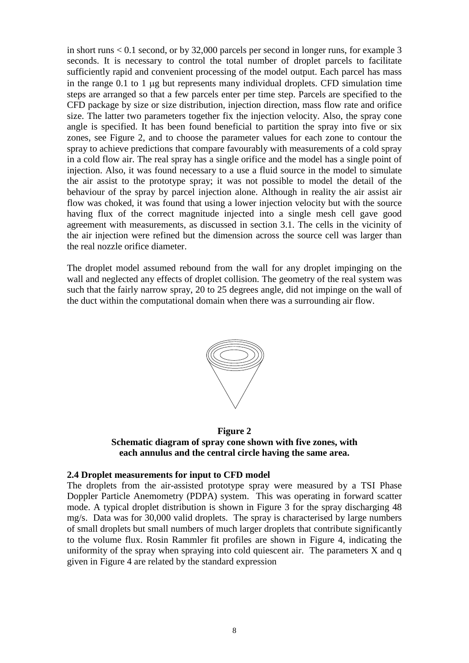in short runs < 0.1 second, or by 32,000 parcels per second in longer runs, for example 3 seconds. It is necessary to control the total number of droplet parcels to facilitate sufficiently rapid and convenient processing of the model output. Each parcel has mass in the range 0.1 to 1 µg but represents many individual droplets. CFD simulation time steps are arranged so that a few parcels enter per time step. Parcels are specified to the CFD package by size or size distribution, injection direction, mass flow rate and orifice size. The latter two parameters together fix the injection velocity. Also, the spray cone angle is specified. It has been found beneficial to partition the spray into five or six zones, see Figure 2, and to choose the parameter values for each zone to contour the spray to achieve predictions that compare favourably with measurements of a cold spray in a cold flow air. The real spray has a single orifice and the model has a single point of injection. Also, it was found necessary to a use a fluid source in the model to simulate the air assist to the prototype spray; it was not possible to model the detail of the behaviour of the spray by parcel injection alone. Although in reality the air assist air flow was choked, it was found that using a lower injection velocity but with the source having flux of the correct magnitude injected into a single mesh cell gave good agreement with measurements, as discussed in section 3.1. The cells in the vicinity of the air injection were refined but the dimension across the source cell was larger than the real nozzle orifice diameter.

The droplet model assumed rebound from the wall for any droplet impinging on the wall and neglected any effects of droplet collision. The geometry of the real system was such that the fairly narrow spray, 20 to 25 degrees angle, did not impinge on the wall of the duct within the computational domain when there was a surrounding air flow.



**Figure 2 Schematic diagram of spray cone shown with five zones, with each annulus and the central circle having the same area.**

#### **2.4 Droplet measurements for input to CFD model**

The droplets from the air-assisted prototype spray were measured by a TSI Phase Doppler Particle Anemometry (PDPA) system. This was operating in forward scatter mode. A typical droplet distribution is shown in Figure 3 for the spray discharging 48 mg/s. Data was for 30,000 valid droplets. The spray is characterised by large numbers of small droplets but small numbers of much larger droplets that contribute significantly to the volume flux. Rosin Rammler fit profiles are shown in Figure 4, indicating the uniformity of the spray when spraying into cold quiescent air. The parameters  $X$  and  $q$ given in Figure 4 are related by the standard expression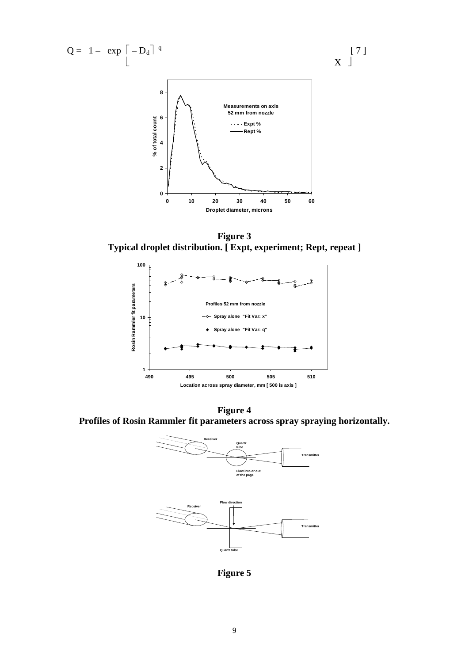

**Figure 3 Typical droplet distribution. [ Expt, experiment; Rept, repeat ]**



**Figure 4 Profiles of Rosin Rammler fit parameters across spray spraying horizontally.**



**Figure 5**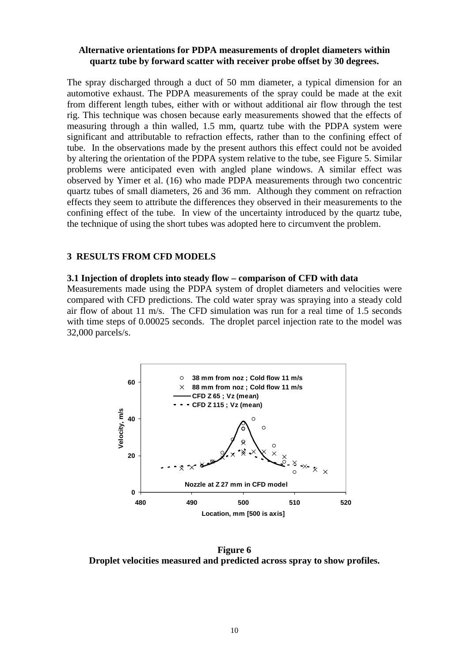#### **Alternative orientations for PDPA measurements of droplet diameters within quartz tube by forward scatter with receiver probe offset by 30 degrees.**

The spray discharged through a duct of 50 mm diameter, a typical dimension for an automotive exhaust. The PDPA measurements of the spray could be made at the exit from different length tubes, either with or without additional air flow through the test rig. This technique was chosen because early measurements showed that the effects of measuring through a thin walled, 1.5 mm, quartz tube with the PDPA system were significant and attributable to refraction effects, rather than to the confining effect of tube. In the observations made by the present authors this effect could not be avoided by altering the orientation of the PDPA system relative to the tube, see Figure 5. Similar problems were anticipated even with angled plane windows. A similar effect was observed by Yimer et al. (16) who made PDPA measurements through two concentric quartz tubes of small diameters, 26 and 36 mm. Although they comment on refraction effects they seem to attribute the differences they observed in their measurements to the confining effect of the tube. In view of the uncertainty introduced by the quartz tube, the technique of using the short tubes was adopted here to circumvent the problem.

#### **3 RESULTS FROM CFD MODELS**

#### **3.1 Injection of droplets into steady flow – comparison of CFD with data**

Measurements made using the PDPA system of droplet diameters and velocities were compared with CFD predictions. The cold water spray was spraying into a steady cold air flow of about 11 m/s. The CFD simulation was run for a real time of 1.5 seconds with time steps of 0.00025 seconds. The droplet parcel injection rate to the model was 32,000 parcels/s.



**Figure 6 Droplet velocities measured and predicted across spray to show profiles.**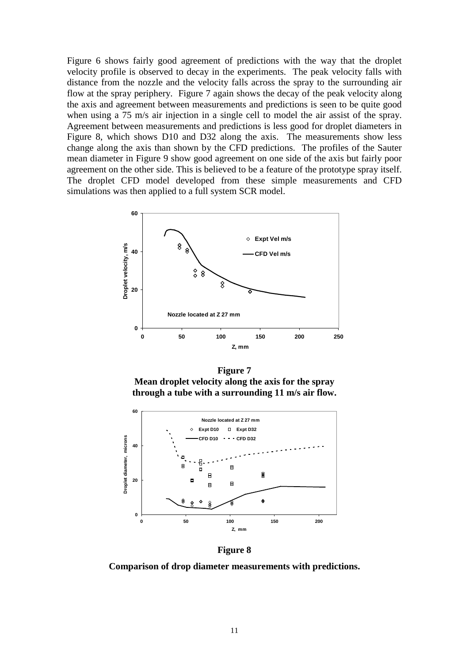Figure 6 shows fairly good agreement of predictions with the way that the droplet velocity profile is observed to decay in the experiments. The peak velocity falls with distance from the nozzle and the velocity falls across the spray to the surrounding air flow at the spray periphery. Figure 7 again shows the decay of the peak velocity along the axis and agreement between measurements and predictions is seen to be quite good when using a 75 m/s air injection in a single cell to model the air assist of the spray. Agreement between measurements and predictions is less good for droplet diameters in Figure 8, which shows D10 and D32 along the axis. The measurements show less change along the axis than shown by the CFD predictions. The profiles of the Sauter mean diameter in Figure 9 show good agreement on one side of the axis but fairly poor agreement on the other side. This is believed to be a feature of the prototype spray itself. The droplet CFD model developed from these simple measurements and CFD simulations was then applied to a full system SCR model.



**Figure 7 Mean droplet velocity along the axis for the spray through a tube with a surrounding 11 m/s air flow.**



**Figure 8**

**Comparison of drop diameter measurements with predictions.**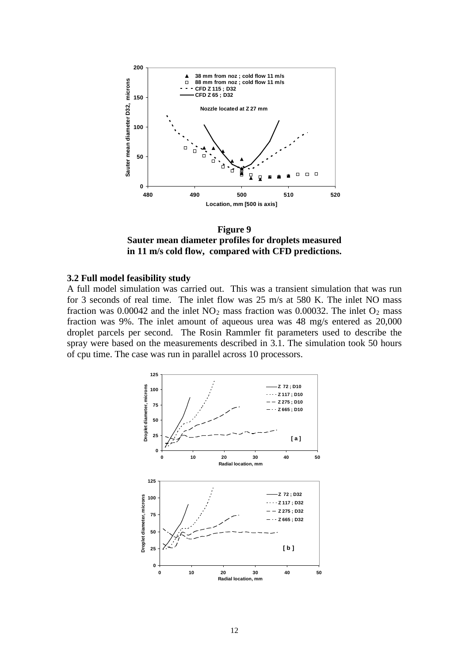

**Figure 9 Sauter mean diameter profiles for droplets measured in 11 m/s cold flow, compared with CFD predictions.**

#### **3.2 Full model feasibility study**

A full model simulation was carried out. This was a transient simulation that was run for 3 seconds of real time. The inlet flow was 25 m/s at 580 K. The inlet NO mass fraction was  $0.00042$  and the inlet  $NO<sub>2</sub>$  mass fraction was  $0.00032$ . The inlet  $O<sub>2</sub>$  mass fraction was 9%. The inlet amount of aqueous urea was 48 mg/s entered as 20,000 droplet parcels per second. The Rosin Rammler fit parameters used to describe the spray were based on the measurements described in 3.1. The simulation took 50 hours of cpu time. The case was run in parallel across 10 processors.

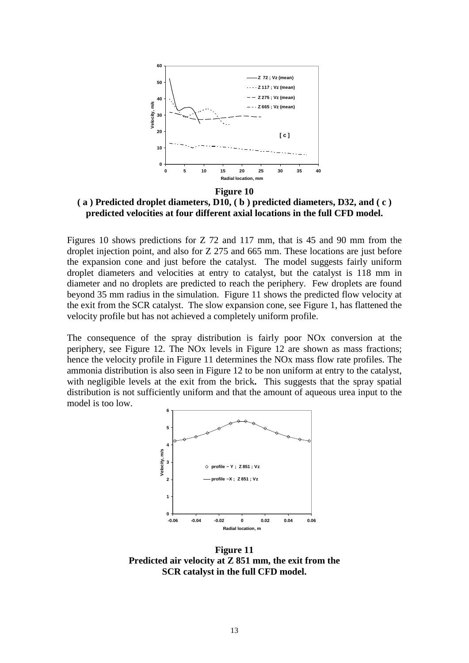

**( a ) Predicted droplet diameters, D10, ( b ) predicted diameters, D32, and ( c ) predicted velocities at four different axial locations in the full CFD model.**

Figures 10 shows predictions for Z 72 and 117 mm, that is 45 and 90 mm from the droplet injection point, and also for Z 275 and 665 mm. These locations are just before the expansion cone and just before the catalyst. The model suggests fairly uniform droplet diameters and velocities at entry to catalyst, but the catalyst is 118 mm in diameter and no droplets are predicted to reach the periphery. Few droplets are found beyond 35 mm radius in the simulation. Figure 11 shows the predicted flow velocity at the exit from the SCR catalyst. The slow expansion cone, see Figure 1, has flattened the velocity profile but has not achieved a completely uniform profile.

The consequence of the spray distribution is fairly poor NOx conversion at the periphery, see Figure 12. The NOx levels in Figure 12 are shown as mass fractions; hence the velocity profile in Figure 11 determines the NOx mass flow rate profiles. The ammonia distribution is also seen in Figure 12 to be non uniform at entry to the catalyst, with negligible levels at the exit from the brick**.** This suggests that the spray spatial distribution is not sufficiently uniform and that the amount of aqueous urea input to the model is too low.



**Figure 11 Predicted air velocity at Z 851 mm, the exit from the SCR catalyst in the full CFD model.**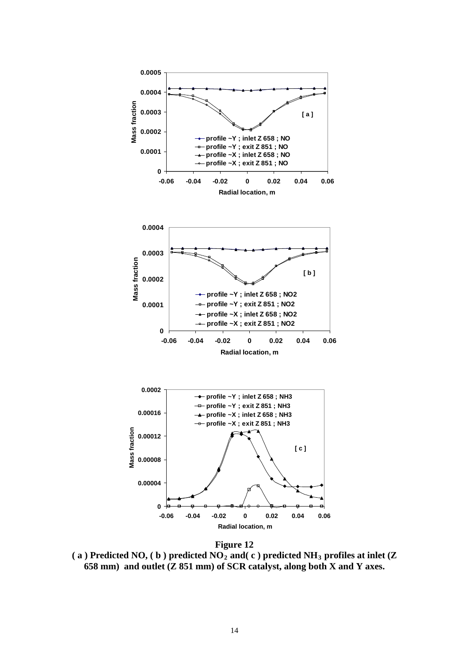

**Figure 12 ( a ) Predicted NO, ( b ) predicted NO2 and( c ) predicted NH3 profiles at inlet (Z 658 mm) and outlet (Z 851 mm) of SCR catalyst, along both X and Y axes.**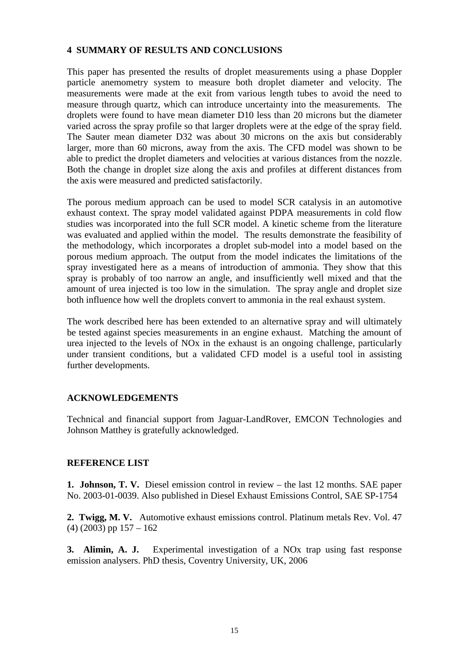#### **4 SUMMARY OF RESULTS AND CONCLUSIONS**

This paper has presented the results of droplet measurements using a phase Doppler particle anemometry system to measure both droplet diameter and velocity. The measurements were made at the exit from various length tubes to avoid the need to measure through quartz, which can introduce uncertainty into the measurements. The droplets were found to have mean diameter D10 less than 20 microns but the diameter varied across the spray profile so that larger droplets were at the edge of the spray field. The Sauter mean diameter D32 was about 30 microns on the axis but considerably larger, more than 60 microns, away from the axis. The CFD model was shown to be able to predict the droplet diameters and velocities at various distances from the nozzle. Both the change in droplet size along the axis and profiles at different distances from the axis were measured and predicted satisfactorily.

The porous medium approach can be used to model SCR catalysis in an automotive exhaust context. The spray model validated against PDPA measurements in cold flow studies was incorporated into the full SCR model. A kinetic scheme from the literature was evaluated and applied within the model. The results demonstrate the feasibility of the methodology, which incorporates a droplet sub-model into a model based on the porous medium approach. The output from the model indicates the limitations of the spray investigated here as a means of introduction of ammonia. They show that this spray is probably of too narrow an angle, and insufficiently well mixed and that the amount of urea injected is too low in the simulation. The spray angle and droplet size both influence how well the droplets convert to ammonia in the real exhaust system.

The work described here has been extended to an alternative spray and will ultimately be tested against species measurements in an engine exhaust. Matching the amount of urea injected to the levels of NOx in the exhaust is an ongoing challenge, particularly under transient conditions, but a validated CFD model is a useful tool in assisting further developments.

# **ACKNOWLEDGEMENTS**

Technical and financial support from Jaguar-LandRover, EMCON Technologies and Johnson Matthey is gratefully acknowledged.

#### **REFERENCE LIST**

**1. Johnson, T. V.** Diesel emission control in review – the last 12 months. SAE paper No. 2003-01-0039. Also published in Diesel Exhaust Emissions Control, SAE SP-1754

**2. Twigg, M. V.** Automotive exhaust emissions control. Platinum metals Rev. Vol. 47  $(4)$  (2003) pp 157 – 162

**3. Alimin, A. J.** Experimental investigation of a NOx trap using fast response emission analysers. PhD thesis, Coventry University, UK, 2006